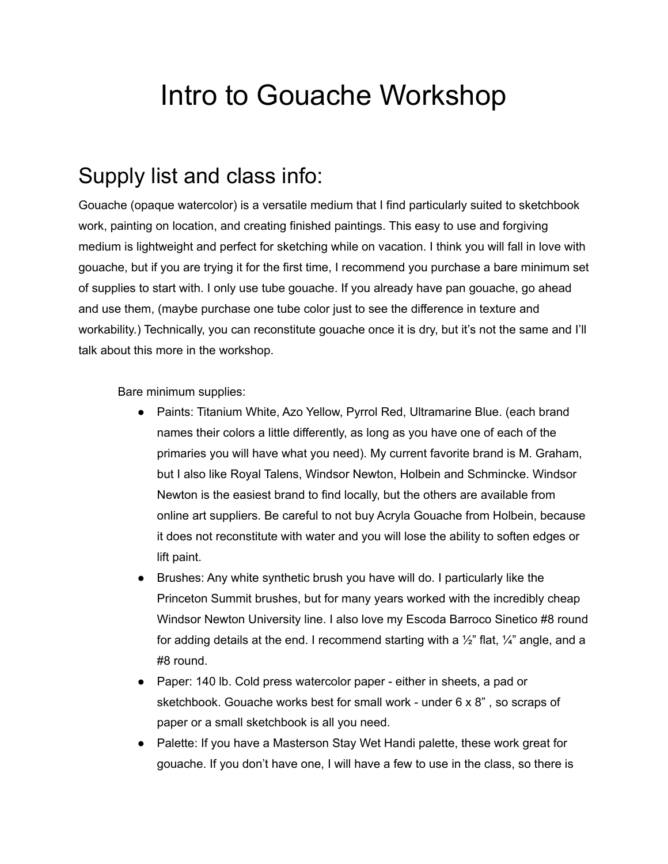## Intro to Gouache Workshop

## Supply list and class info:

Gouache (opaque watercolor) is a versatile medium that I find particularly suited to sketchbook work, painting on location, and creating finished paintings. This easy to use and forgiving medium is lightweight and perfect for sketching while on vacation. I think you will fall in love with gouache, but if you are trying it for the first time, I recommend you purchase a bare minimum set of supplies to start with. I only use tube gouache. If you already have pan gouache, go ahead and use them, (maybe purchase one tube color just to see the difference in texture and workability.) Technically, you can reconstitute gouache once it is dry, but it's not the same and I'll talk about this more in the workshop.

Bare minimum supplies:

- Paints: Titanium White, Azo Yellow, Pyrrol Red, Ultramarine Blue. (each brand names their colors a little differently, as long as you have one of each of the primaries you will have what you need). My current favorite brand is M. Graham, but I also like Royal Talens, Windsor Newton, Holbein and Schmincke. Windsor Newton is the easiest brand to find locally, but the others are available from online art suppliers. Be careful to not buy Acryla Gouache from Holbein, because it does not reconstitute with water and you will lose the ability to soften edges or lift paint.
- Brushes: Any white synthetic brush you have will do. I particularly like the Princeton Summit brushes, but for many years worked with the incredibly cheap Windsor Newton University line. I also love my Escoda Barroco Sinetico #8 round for adding details at the end. I recommend starting with a  $\frac{1}{2}$ " flat,  $\frac{1}{4}$ " angle, and a #8 round.
- Paper: 140 lb. Cold press watercolor paper either in sheets, a pad or sketchbook. Gouache works best for small work - under 6 x 8" , so scraps of paper or a small sketchbook is all you need.
- Palette: If you have a Masterson Stay Wet Handi palette, these work great for gouache. If you don't have one, I will have a few to use in the class, so there is